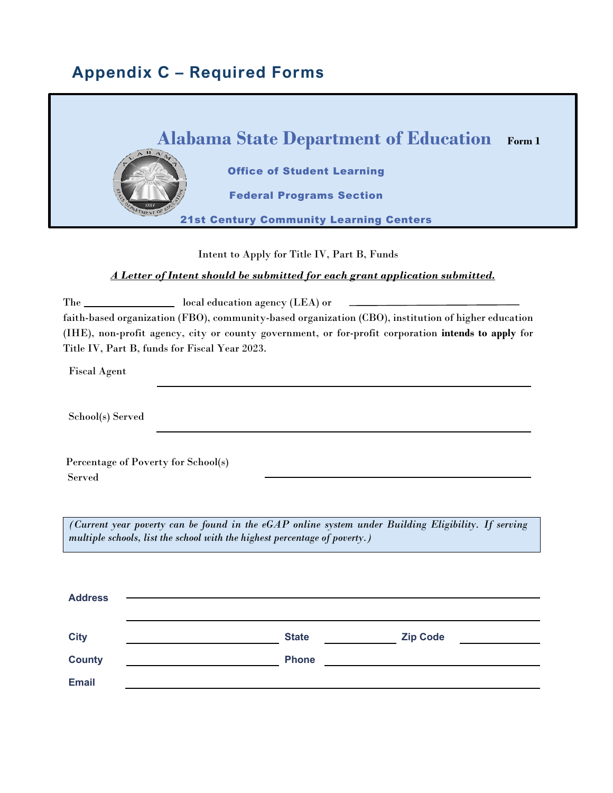## **Appendix C – Required Forms**



Intent to Apply for Title IV, Part B, Funds

### *A Letter of Intent should be submitted for each grant application submitted.*

The \_\_\_\_\_\_\_\_\_\_\_\_\_\_\_\_\_\_ local education agency (LEA) or faith-based organization (FBO), community-based organization (CBO), institution of higher education (IHE), non-profit agency, city or county government, or for-profit corporation **intends to apply** for Title IV, Part B, funds for Fiscal Year 2023.

Fiscal Agent

School(s) Served

Percentage of Poverty for School(s) Served

*(Current year poverty can be found in the eGAP online system under Building Eligibility. If serving multiple schools, list the school with the highest percentage of poverty.)* 

| <b>Address</b> |              |                 |  |
|----------------|--------------|-----------------|--|
| <b>City</b>    | <b>State</b> | <b>Zip Code</b> |  |
| <b>County</b>  | <b>Phone</b> |                 |  |
| <b>Email</b>   |              |                 |  |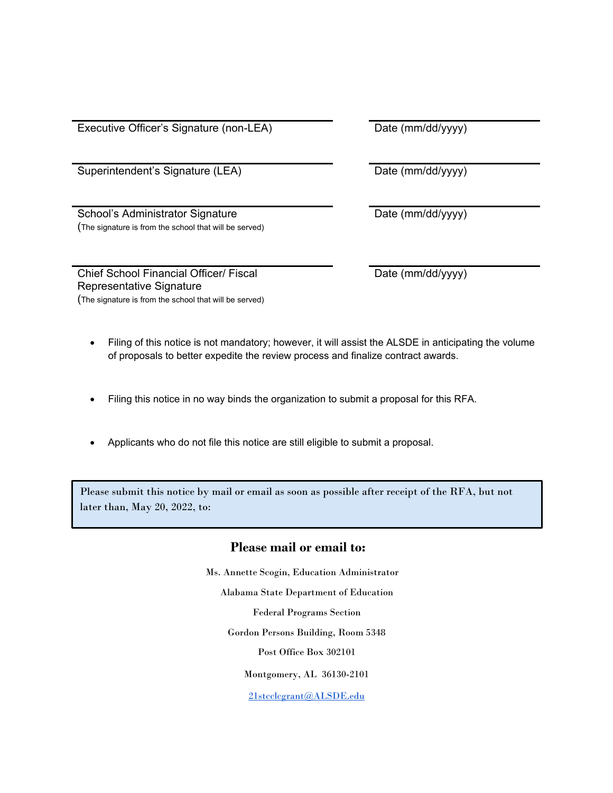Executive Officer's Signature (non-LEA) Date (mm/dd/yyyy)

Superintendent's Signature (LEA) Date (mm/dd/yyyy)

School's Administrator Signature (The signature is from the school that will be served)

Chief School Financial Officer/ Fiscal Representative Signature (The signature is from the school that will be served) Date (mm/dd/yyyy)

Date (mm/dd/yyyy)

- Filing of this notice is not mandatory; however, it will assist the ALSDE in anticipating the volume of proposals to better expedite the review process and finalize contract awards.
- Filing this notice in no way binds the organization to submit a proposal for this RFA.
- Applicants who do not file this notice are still eligible to submit a proposal.

Please submit this notice by mail or email as soon as possible after receipt of the RFA, but not later than, May 20, 2022, to:

### **Please mail or email to:**

Ms. Annette Scogin, Education Administrator Alabama State Department of Education Federal Programs Section Gordon Persons Building, Room 5348 Post Office Box 302101 Montgomery, AL 36130-2101

21stcclcgrant@ALSDE.edu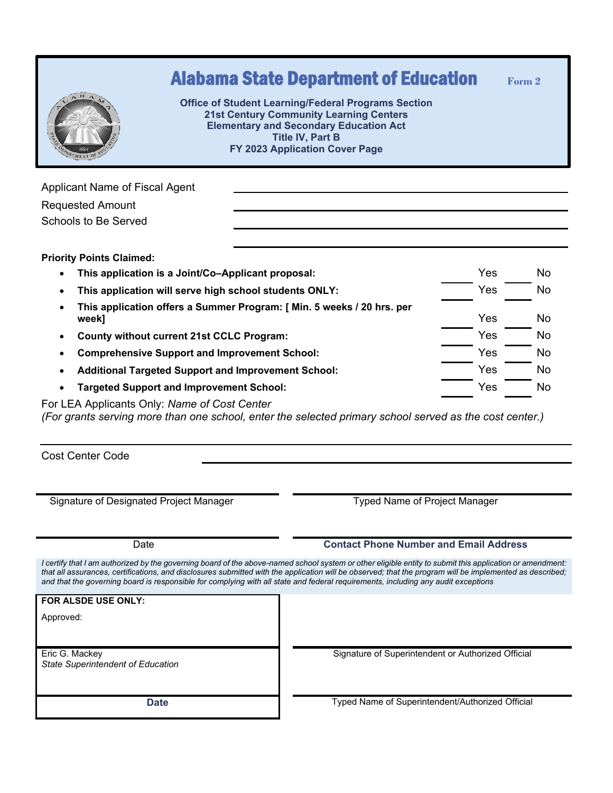|                                                                     | <b>Alabama State Department of Education</b><br><b>Office of Student Learning/Federal Programs Section</b><br><b>21st Century Community Learning Centers</b><br><b>Elementary and Secondary Education Act</b><br><b>Title IV, Part B</b><br>FY 2023 Application Cover Page | Form 2    |
|---------------------------------------------------------------------|----------------------------------------------------------------------------------------------------------------------------------------------------------------------------------------------------------------------------------------------------------------------------|-----------|
| Applicant Name of Fiscal Agent                                      |                                                                                                                                                                                                                                                                            |           |
| <b>Requested Amount</b><br>Schools to Be Served                     |                                                                                                                                                                                                                                                                            |           |
| <b>Priority Points Claimed:</b>                                     |                                                                                                                                                                                                                                                                            |           |
| $\bullet$                                                           | Yes<br>This application is a Joint/Co–Applicant proposal:                                                                                                                                                                                                                  | No        |
| This application will serve high school students ONLY:<br>$\bullet$ |                                                                                                                                                                                                                                                                            | Yes<br>No |

- **This application offers a Summer Program: [ Min. 5 weeks / 20 hrs. per week]** Yes No • **County without current 21st CCLC Program:** Yes No
- **Comprehensive Support and Improvement School:** Yes No
- Additional Targeted Support and Improvement School: **We Additional Targeted Support and Improvement School:** Yes No
- **Targeted Support and Improvement School:** Targeted Support and Improvement School: Ves No

For LEA Applicants Only: *Name of Cost Center*

*(For grants serving more than one school, enter the selected primary school served as the cost center.)*

Cost Center Code

Signature of Designated Project Manager Typed Name of Project Manager

#### Date **Contact Phone Number and Email Address**

*I certify that I am authorized by the governing board of the above-named school system or other eligible entity to submit this application or amendment:*  that all assurances, certifications, and disclosures submitted with the application will be observed; that the program will be implemented as described; *and that the governing board is responsible for complying with all state and federal requirements, including any audit exceptions* 

**FOR ALSDE USE ONLY:**

Approved:

Eric G. Mackey *State Superintendent of Education* Signature of Superintendent or Authorized Official

**Date** Typed Name of Superintendent/Authorized Official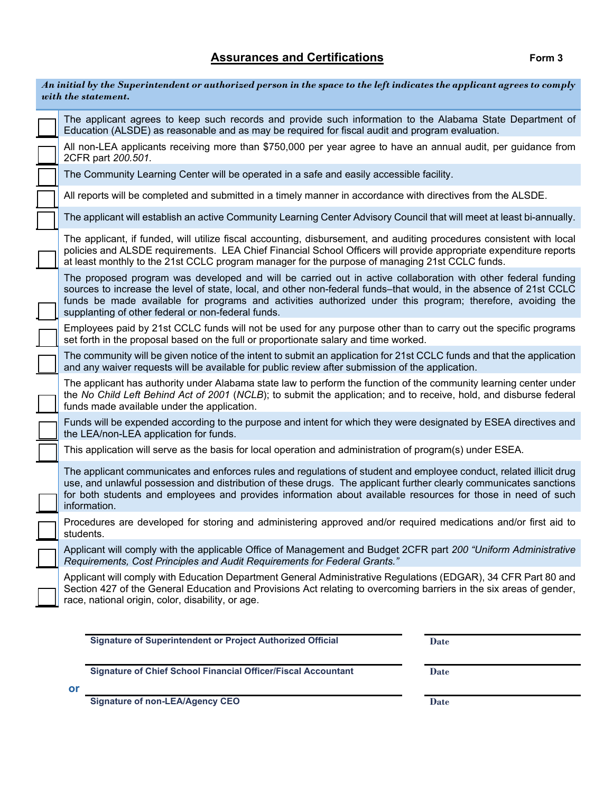### Assurances and Certifications **Form 3**

| An initial by the Superintendent or authorized person in the space to the left indicates the applicant agrees to comply<br>with the statement.                                                                                                                                                                                                                                                          |
|---------------------------------------------------------------------------------------------------------------------------------------------------------------------------------------------------------------------------------------------------------------------------------------------------------------------------------------------------------------------------------------------------------|
| The applicant agrees to keep such records and provide such information to the Alabama State Department of<br>Education (ALSDE) as reasonable and as may be required for fiscal audit and program evaluation.                                                                                                                                                                                            |
| All non-LEA applicants receiving more than \$750,000 per year agree to have an annual audit, per guidance from<br>2CFR part 200.501.                                                                                                                                                                                                                                                                    |
| The Community Learning Center will be operated in a safe and easily accessible facility.                                                                                                                                                                                                                                                                                                                |
| All reports will be completed and submitted in a timely manner in accordance with directives from the ALSDE.                                                                                                                                                                                                                                                                                            |
| The applicant will establish an active Community Learning Center Advisory Council that will meet at least bi-annually.                                                                                                                                                                                                                                                                                  |
| The applicant, if funded, will utilize fiscal accounting, disbursement, and auditing procedures consistent with local<br>policies and ALSDE requirements. LEA Chief Financial School Officers will provide appropriate expenditure reports<br>at least monthly to the 21st CCLC program manager for the purpose of managing 21st CCLC funds.                                                            |
| The proposed program was developed and will be carried out in active collaboration with other federal funding<br>sources to increase the level of state, local, and other non-federal funds-that would, in the absence of 21st CCLC<br>funds be made available for programs and activities authorized under this program; therefore, avoiding the<br>supplanting of other federal or non-federal funds. |
| Employees paid by 21st CCLC funds will not be used for any purpose other than to carry out the specific programs<br>set forth in the proposal based on the full or proportionate salary and time worked.                                                                                                                                                                                                |
| The community will be given notice of the intent to submit an application for 21st CCLC funds and that the application<br>and any waiver requests will be available for public review after submission of the application.                                                                                                                                                                              |
| The applicant has authority under Alabama state law to perform the function of the community learning center under<br>the No Child Left Behind Act of 2001 (NCLB); to submit the application; and to receive, hold, and disburse federal<br>funds made available under the application.                                                                                                                 |
| Funds will be expended according to the purpose and intent for which they were designated by ESEA directives and<br>the LEA/non-LEA application for funds.                                                                                                                                                                                                                                              |
| This application will serve as the basis for local operation and administration of program(s) under ESEA.                                                                                                                                                                                                                                                                                               |
| The applicant communicates and enforces rules and regulations of student and employee conduct, related illicit drug<br>use, and unlawful possession and distribution of these drugs. The applicant further clearly communicates sanctions<br>for both students and employees and provides information about available resources for those in need of such<br>information.                               |
| Procedures are developed for storing and administering approved and/or required medications and/or first aid to<br>students.                                                                                                                                                                                                                                                                            |
| Applicant will comply with the applicable Office of Management and Budget 2CFR part 200 "Uniform Administrative<br>Requirements, Cost Principles and Audit Requirements for Federal Grants."                                                                                                                                                                                                            |
| Applicant will comply with Education Department General Administrative Regulations (EDGAR), 34 CFR Part 80 and<br>Section 427 of the General Education and Provisions Act relating to overcoming barriers in the six areas of gender,<br>race, national origin, color, disability, or age.                                                                                                              |

**Signature of Superintendent or Project Authorized Official Date** 

**Signature of Chief School Financial Officer/Fiscal Accountant Date** 

**or**

**Signature of non-LEA/Agency CEO** Date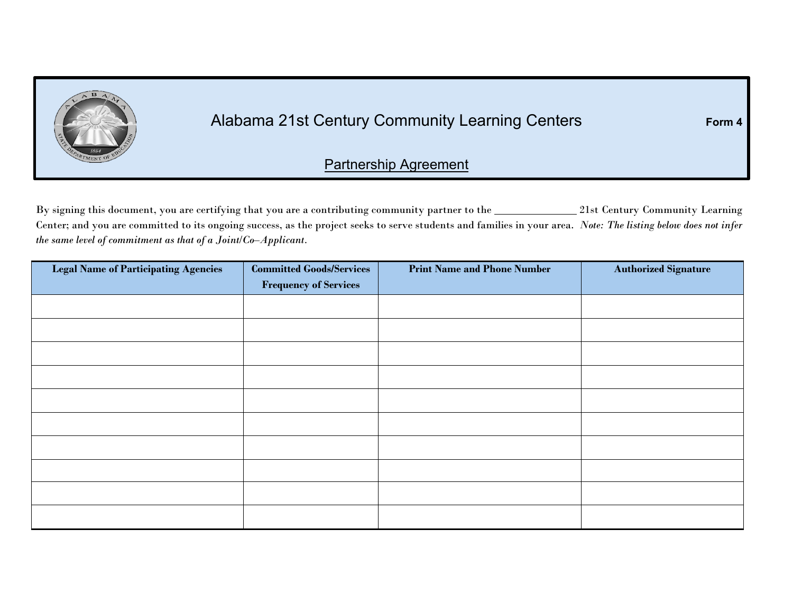

# Alabama 21st Century Community Learning Centers **Form 4**

### Partnership Agreement

By signing this document, you are certifying that you are a contributing community partner to the 21st Century Community Learning Center; and you are committed to its ongoing success, as the project seeks to serve students and families in your area. *Note: The listing below does not infer the same level of commitment as that of a Joint/Co–Applicant.*

| <b>Legal Name of Participating Agencies</b> | <b>Committed Goods/Services</b><br><b>Frequency of Services</b> | <b>Print Name and Phone Number</b> | <b>Authorized Signature</b> |
|---------------------------------------------|-----------------------------------------------------------------|------------------------------------|-----------------------------|
|                                             |                                                                 |                                    |                             |
|                                             |                                                                 |                                    |                             |
|                                             |                                                                 |                                    |                             |
|                                             |                                                                 |                                    |                             |
|                                             |                                                                 |                                    |                             |
|                                             |                                                                 |                                    |                             |
|                                             |                                                                 |                                    |                             |
|                                             |                                                                 |                                    |                             |
|                                             |                                                                 |                                    |                             |
|                                             |                                                                 |                                    |                             |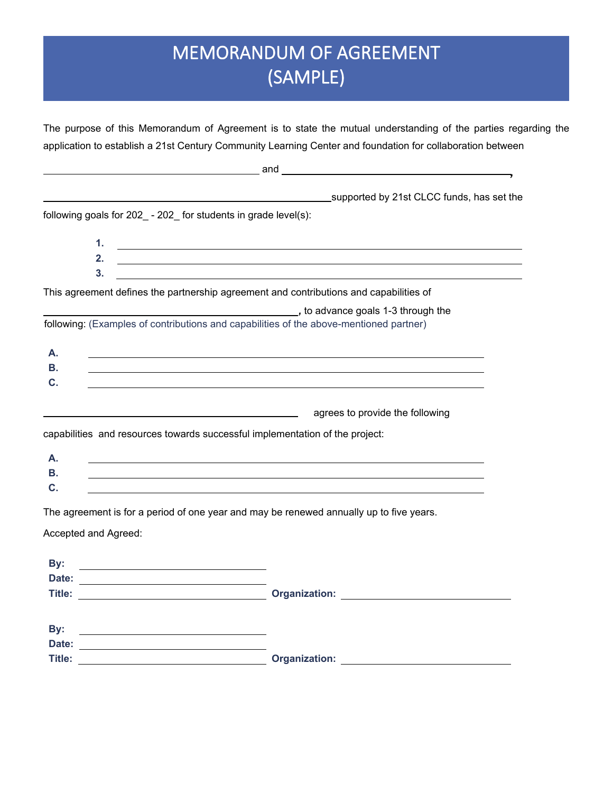# MEMORANDUM OF AGREEMENT (SAMPLE)

The purpose of this Memorandum of Agreement is to state the mutual understanding of the parties regarding the application to establish a 21st Century Community Learning Center and foundation for collaboration between

|                        | and                                                                                                                                                                                                                                                                         |
|------------------------|-----------------------------------------------------------------------------------------------------------------------------------------------------------------------------------------------------------------------------------------------------------------------------|
|                        | supported by 21st CLCC funds, has set the                                                                                                                                                                                                                                   |
|                        | following goals for $202 - 202$ for students in grade level(s):                                                                                                                                                                                                             |
|                        | 1.<br><u> 1989 - Johann Stein, mars an deutscher Stein und der Stein und der Stein und der Stein und der Stein und der</u>                                                                                                                                                  |
|                        | 2.<br><u> 1989 - Andrea Santa Andrea Andrea Andrea Andrea Andrea Andrea Andrea Andrea Andrea Andrea Andrea Andrea Andr</u><br>3.<br><u> 1989 - Johann Stoff, deutscher Stoff, der Stoff, der Stoff, der Stoff, der Stoff, der Stoff, der Stoff, der S</u>                   |
|                        | This agreement defines the partnership agreement and contributions and capabilities of                                                                                                                                                                                      |
|                        | to advance goals 1-3 through the state of the state of the state of the state of the state of the state of the<br>following: (Examples of contributions and capabilities of the above-mentioned partner)                                                                    |
| А.                     |                                                                                                                                                                                                                                                                             |
| В.<br>$\mathbf{C}$ .   | ,我们也不会有一个人的人,我们也不会有一个人的人,我们也不会有一个人的人。""我们,我们也不会有一个人的人,我们也不会有一个人的人。""我们,我们也不会有一个人                                                                                                                                                                                            |
|                        | agrees to provide the following                                                                                                                                                                                                                                             |
|                        | capabilities and resources towards successful implementation of the project:                                                                                                                                                                                                |
| А.                     |                                                                                                                                                                                                                                                                             |
| В.<br>C.               | 的,我们也不会有什么。""我们的人,我们也不会有什么?""我们的人,我们也不会有什么?""我们的人,我们也不会有什么?""我们的人,我们也不会有什么?""我们的                                                                                                                                                                                            |
|                        | The agreement is for a period of one year and may be renewed annually up to five years.                                                                                                                                                                                     |
|                        | Accepted and Agreed:                                                                                                                                                                                                                                                        |
| By:                    |                                                                                                                                                                                                                                                                             |
|                        | Date: <u>________________________</u><br>Title: <u>New York Channels and Contraction:</u> Contraction: New York Channels and Channels and Channels and Channels and Channels and Channels and Channels and Channels and Channels and Channels and Channels and Channels and |
|                        |                                                                                                                                                                                                                                                                             |
| By:                    |                                                                                                                                                                                                                                                                             |
| Date:<br><b>Title:</b> | Drganization: 2007 Contract Department of the Contract Organization:                                                                                                                                                                                                        |
|                        |                                                                                                                                                                                                                                                                             |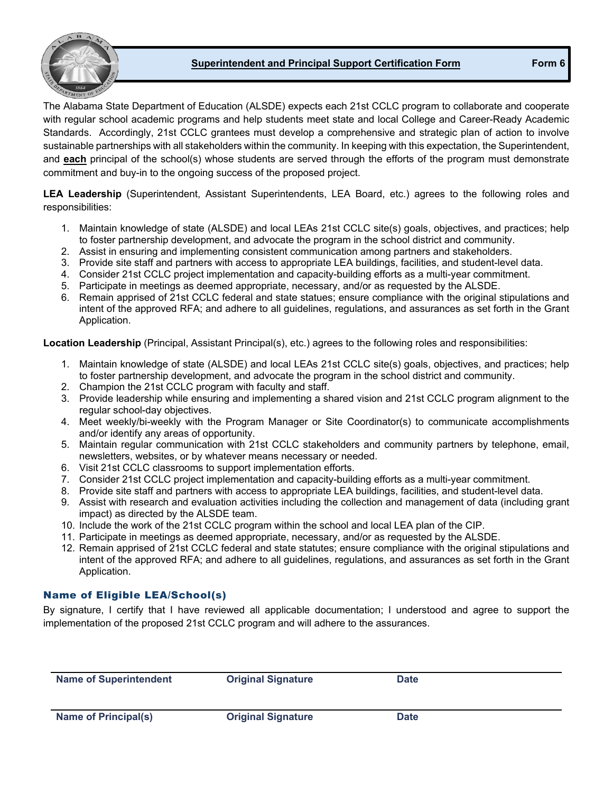#### **Superintendent and Principal Support Certification Form Form 6**



The Alabama State Department of Education (ALSDE) expects each 21st CCLC program to collaborate and cooperate with regular school academic programs and help students meet state and local College and Career-Ready Academic Standards. Accordingly, 21st CCLC grantees must develop a comprehensive and strategic plan of action to involve sustainable partnerships with all stakeholders within the community. In keeping with this expectation, the Superintendent, and **each** principal of the school(s) whose students are served through the efforts of the program must demonstrate commitment and buy-in to the ongoing success of the proposed project.

**LEA Leadership** (Superintendent, Assistant Superintendents, LEA Board, etc.) agrees to the following roles and responsibilities:

- 1. Maintain knowledge of state (ALSDE) and local LEAs 21st CCLC site(s) goals, objectives, and practices; help to foster partnership development, and advocate the program in the school district and community.
- 2. Assist in ensuring and implementing consistent communication among partners and stakeholders.
- 3. Provide site staff and partners with access to appropriate LEA buildings, facilities, and student-level data.
- 4. Consider 21st CCLC project implementation and capacity-building efforts as a multi-year commitment.
- 5. Participate in meetings as deemed appropriate, necessary, and/or as requested by the ALSDE.
- 6. Remain apprised of 21st CCLC federal and state statues; ensure compliance with the original stipulations and intent of the approved RFA; and adhere to all guidelines, regulations, and assurances as set forth in the Grant Application.

**Location Leadership** (Principal, Assistant Principal(s), etc.) agrees to the following roles and responsibilities:

- 1. Maintain knowledge of state (ALSDE) and local LEAs 21st CCLC site(s) goals, objectives, and practices; help to foster partnership development, and advocate the program in the school district and community.
- 2. Champion the 21st CCLC program with faculty and staff.
- 3. Provide leadership while ensuring and implementing a shared vision and 21st CCLC program alignment to the regular school-day objectives.
- 4. Meet weekly/bi-weekly with the Program Manager or Site Coordinator(s) to communicate accomplishments and/or identify any areas of opportunity.
- 5. Maintain regular communication with 21st CCLC stakeholders and community partners by telephone, email, newsletters, websites, or by whatever means necessary or needed.
- 6. Visit 21st CCLC classrooms to support implementation efforts.
- 7. Consider 21st CCLC project implementation and capacity-building efforts as a multi-year commitment.
- 8. Provide site staff and partners with access to appropriate LEA buildings, facilities, and student-level data.
- 9. Assist with research and evaluation activities including the collection and management of data (including grant impact) as directed by the ALSDE team.
- 10. Include the work of the 21st CCLC program within the school and local LEA plan of the CIP.
- 11. Participate in meetings as deemed appropriate, necessary, and/or as requested by the ALSDE.
- 12. Remain apprised of 21st CCLC federal and state statutes; ensure compliance with the original stipulations and intent of the approved RFA; and adhere to all guidelines, regulations, and assurances as set forth in the Grant Application.

#### Name of Eligible LEA/School(s)

By signature, I certify that I have reviewed all applicable documentation; I understood and agree to support the implementation of the proposed 21st CCLC program and will adhere to the assurances.

| <b>Name of Superintendent</b> | <b>Original Signature</b> | <b>Date</b> |  |
|-------------------------------|---------------------------|-------------|--|
| Name of Principal(s)          | <b>Original Signature</b> | <b>Date</b> |  |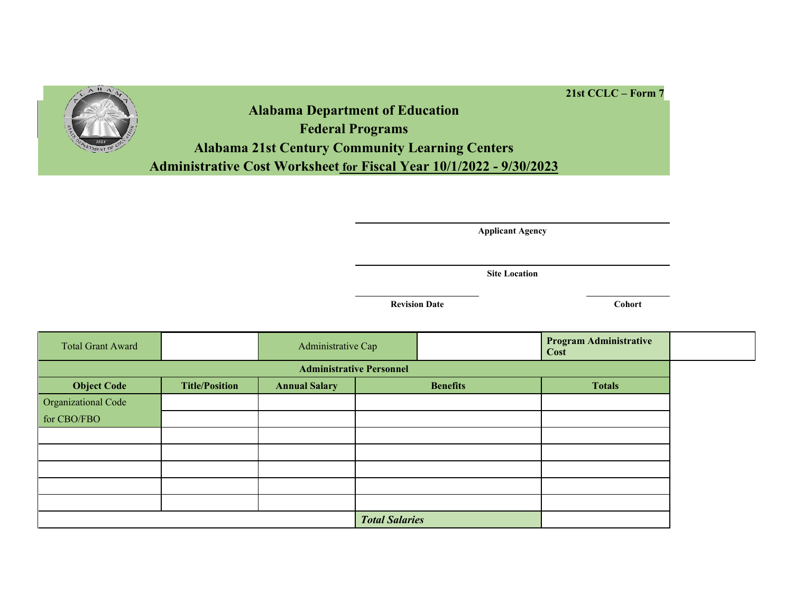

**Alabama Department of Education Federal Programs Alabama 21st Century Community Learning Centers Administrative Cost Worksheet for Fiscal Year 10/1/2022 - 9/30/2023**

**Applicant Agency**

**Site Location**

**Revision Date Cohort** 

**21st CCLC – Form 7**

| <b>Total Grant Award</b> |                                 | Administrative Cap   |                       |                 | <b>Program Administrative</b><br>Cost |  |
|--------------------------|---------------------------------|----------------------|-----------------------|-----------------|---------------------------------------|--|
|                          | <b>Administrative Personnel</b> |                      |                       |                 |                                       |  |
| <b>Object Code</b>       | <b>Title/Position</b>           | <b>Annual Salary</b> |                       | <b>Benefits</b> | <b>Totals</b>                         |  |
| Organizational Code      |                                 |                      |                       |                 |                                       |  |
| for CBO/FBO              |                                 |                      |                       |                 |                                       |  |
|                          |                                 |                      |                       |                 |                                       |  |
|                          |                                 |                      |                       |                 |                                       |  |
|                          |                                 |                      |                       |                 |                                       |  |
|                          |                                 |                      |                       |                 |                                       |  |
|                          |                                 |                      |                       |                 |                                       |  |
|                          |                                 |                      | <b>Total Salaries</b> |                 |                                       |  |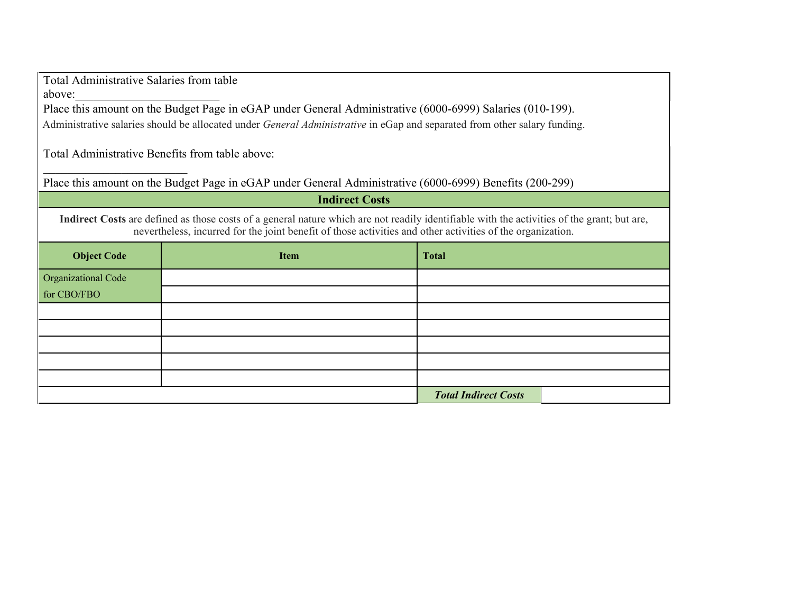Total Administrative Salaries from table above:

\_\_\_\_\_\_\_\_\_\_\_\_\_\_\_\_\_\_\_\_\_\_\_\_

Place this amount on the Budget Page in eGAP under General Administrative (6000-6999) Salaries (010-199). Administrative salaries should be allocated under *General Administrative* in eGap and separated from other salary funding.

Total Administrative Benefits from table above:

Place this amount on the Budget Page in eGAP under General Administrative (6000-6999) Benefits (200-299)

| <b>Indirect Costs</b>                                                                                                                                                                                                                                     |             |                             |  |  |
|-----------------------------------------------------------------------------------------------------------------------------------------------------------------------------------------------------------------------------------------------------------|-------------|-----------------------------|--|--|
| Indirect Costs are defined as those costs of a general nature which are not readily identifiable with the activities of the grant; but are,<br>nevertheless, incurred for the joint benefit of those activities and other activities of the organization. |             |                             |  |  |
| <b>Object Code</b>                                                                                                                                                                                                                                        | <b>Item</b> | <b>Total</b>                |  |  |
| <b>Organizational Code</b>                                                                                                                                                                                                                                |             |                             |  |  |
| for CBO/FBO                                                                                                                                                                                                                                               |             |                             |  |  |
|                                                                                                                                                                                                                                                           |             |                             |  |  |
|                                                                                                                                                                                                                                                           |             |                             |  |  |
|                                                                                                                                                                                                                                                           |             |                             |  |  |
|                                                                                                                                                                                                                                                           |             |                             |  |  |
|                                                                                                                                                                                                                                                           |             |                             |  |  |
|                                                                                                                                                                                                                                                           |             | <b>Total Indirect Costs</b> |  |  |